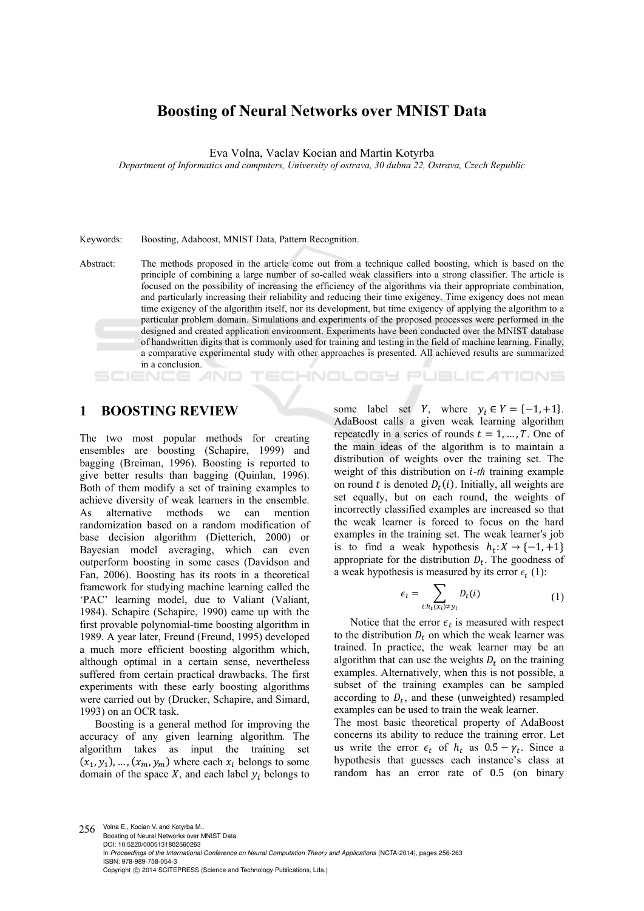# **Boosting of Neural Networks over MNIST Data**

Eva Volna, Vaclav Kocian and Martin Kotyrba

*Department of Informatics and computers, University of ostrava, 30 dubna 22, Ostrava, Czech Republic* 

#### Keywords: Boosting, Adaboost, MNIST Data, Pattern Recognition.

Abstract: The methods proposed in the article come out from a technique called boosting, which is based on the principle of combining a large number of so-called weak classifiers into a strong classifier. The article is focused on the possibility of increasing the efficiency of the algorithms via their appropriate combination, and particularly increasing their reliability and reducing their time exigency. Time exigency does not mean time exigency of the algorithm itself, nor its development, but time exigency of applying the algorithm to a particular problem domain. Simulations and experiments of the proposed processes were performed in the designed and created application environment. Experiments have been conducted over the MNIST database of handwritten digits that is commonly used for training and testing in the field of machine learning. Finally, a comparative experimental study with other approaches is presented. All achieved results are summarized in a conclusion. **TECHNOLOGY PUBLICATIONS** AND

# **1 BOOSTING REVIEW**

The two most popular methods for creating ensembles are boosting (Schapire, 1999) and bagging (Breiman, 1996). Boosting is reported to give better results than bagging (Quinlan, 1996). Both of them modify a set of training examples to achieve diversity of weak learners in the ensemble. As alternative methods we can mention randomization based on a random modification of base decision algorithm (Dietterich, 2000) or Bayesian model averaging, which can even outperform boosting in some cases (Davidson and Fan, 2006). Boosting has its roots in a theoretical framework for studying machine learning called the 'PAC' learning model, due to Valiant (Valiant, 1984). Schapire (Schapire, 1990) came up with the first provable polynomial-time boosting algorithm in 1989. A year later, Freund (Freund, 1995) developed a much more efficient boosting algorithm which, although optimal in a certain sense, nevertheless suffered from certain practical drawbacks. The first experiments with these early boosting algorithms were carried out by (Drucker, Schapire, and Simard, 1993) on an OCR task.

Boosting is a general method for improving the accuracy of any given learning algorithm. The algorithm takes as input the training set  $(x_1, y_1), \ldots, (x_m, y_m)$  where each  $x_i$  belongs to some domain of the space  $X$ , and each label  $y_i$  belongs to some label set *Y*, where  $y_i \in Y = \{-1, +1\}.$ AdaBoost calls a given weak learning algorithm repeatedly in a series of rounds  $t = 1, ..., T$ . One of the main ideas of the algorithm is to maintain a distribution of weights over the training set. The weight of this distribution on *i-th* training example on round t is denoted  $D_t(i)$ . Initially, all weights are set equally, but on each round, the weights of incorrectly classified examples are increased so that the weak learner is forced to focus on the hard examples in the training set. The weak learner's job is to find a weak hypothesis  $h_t: X \to \{-1, +1\}$ appropriate for the distribution  $D_t$ . The goodness of a weak hypothesis is measured by its error  $\epsilon_t$  (1):

$$
\epsilon_t = \sum_{i:h_t(x_i) \neq y_i} D_t(i) \tag{1}
$$

Notice that the error  $\epsilon_t$  is measured with respect to the distribution  $D_t$  on which the weak learner was trained. In practice, the weak learner may be an algorithm that can use the weights  $D_t$  on the training examples. Alternatively, when this is not possible, a subset of the training examples can be sampled according to  $D_t$ , and these (unweighted) resampled examples can be used to train the weak learner.

The most basic theoretical property of AdaBoost concerns its ability to reduce the training error. Let us write the error  $\epsilon_t$  of  $h_t$  as  $0.5 - \gamma_t$ . Since a hypothesis that guesses each instance's class at random has an error rate of 0.5 (on binary

256 Volna E., Kocian V. and Kotyrba M.. Boosting of Neural Networks over MNIST Data. DOI: 10.5220/0005131802560263 In *Proceedings of the International Conference on Neural Computation Theory and Applications* (NCTA-2014), pages 256-263 ISBN: 978-989-758-054-3 Copyright © 2014 SCITEPRESS (Science and Technology Publications, Lda.)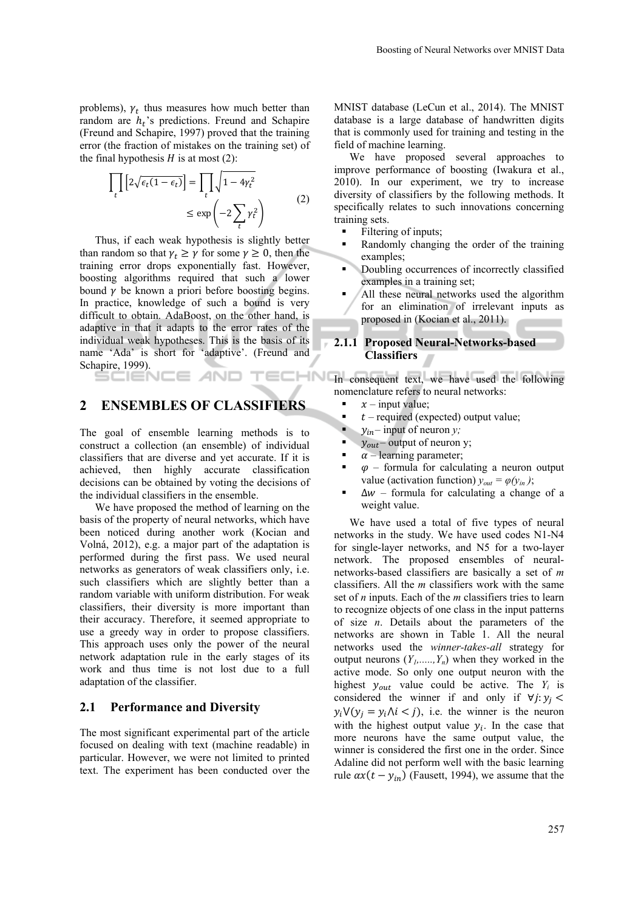problems),  $\gamma_t$  thus measures how much better than random are  $h_t$ 's predictions. Freund and Schapire (Freund and Schapire, 1997) proved that the training error (the fraction of mistakes on the training set) of the final hypothesis  $H$  is at most (2):

$$
\prod_{t} \left[ 2\sqrt{\epsilon_{t}(1-\epsilon_{t})} \right] = \prod_{t} \sqrt{1-4\gamma_{t}^{2}}
$$

$$
\leq \exp\left( -2\sum_{t} \gamma_{t}^{2} \right) \tag{2}
$$

Thus, if each weak hypothesis is slightly better than random so that  $\gamma_t \ge \gamma$  for some  $\gamma \ge 0$ , then the training error drops exponentially fast. However, boosting algorithms required that such a lower bound  $\gamma$  be known a priori before boosting begins. In practice, knowledge of such a bound is very difficult to obtain. AdaBoost, on the other hand, is adaptive in that it adapts to the error rates of the individual weak hypotheses. This is the basis of its name 'Ada' is short for 'adaptive'. (Freund and Schapire, 1999).

### **2 ENSEMBLES OF CLASSIFIERS**

The goal of ensemble learning methods is to construct a collection (an ensemble) of individual classifiers that are diverse and yet accurate. If it is achieved, then highly accurate classification decisions can be obtained by voting the decisions of the individual classifiers in the ensemble.

We have proposed the method of learning on the basis of the property of neural networks, which have been noticed during another work (Kocian and Volná, 2012), e.g. a major part of the adaptation is performed during the first pass. We used neural networks as generators of weak classifiers only, i.e. such classifiers which are slightly better than a random variable with uniform distribution. For weak classifiers, their diversity is more important than their accuracy. Therefore, it seemed appropriate to use a greedy way in order to propose classifiers. This approach uses only the power of the neural network adaptation rule in the early stages of its work and thus time is not lost due to a full adaptation of the classifier.

### **2.1 Performance and Diversity**

The most significant experimental part of the article focused on dealing with text (machine readable) in particular. However, we were not limited to printed text. The experiment has been conducted over the

MNIST database (LeCun et al., 2014). The MNIST database is a large database of handwritten digits that is commonly used for training and testing in the field of machine learning.

We have proposed several approaches to improve performance of boosting (Iwakura et al., 2010). In our experiment, we try to increase diversity of classifiers by the following methods. It specifically relates to such innovations concerning training sets.

- **Filtering of inputs;**
- Randomly changing the order of the training examples;
- Doubling occurrences of incorrectly classified examples in a training set;
- All these neural networks used the algorithm for an elimination of irrelevant inputs as proposed in (Kocian et al., 2011).

#### **2.1.1 Proposed Neural-Networks-based Classifiers**

TELLIN In consequent text, we have used the following nomenclature refers to neural networks:

- $x$  input value;
- $t$  required (expected) output value;
- $y_{in}$  input of neuron *y*;
- $y_{out}$  output of neuron y;
- $\alpha$  learning parameter;
- $\varphi$  formula for calculating a neuron output value (activation function)  $y_{out} = \varphi(y_{in})$ ;
- $\Delta w$  formula for calculating a change of a weight value.

We have used a total of five types of neural networks in the study. We have used codes N1-N4 for single-layer networks, and N5 for a two-layer network. The proposed ensembles of neuralnetworks-based classifiers are basically a set of *m* classifiers. All the *m* classifiers work with the same set of *n* inputs. Each of the *m* classifiers tries to learn to recognize objects of one class in the input patterns of size *n*. Details about the parameters of the networks are shown in Table 1. All the neural networks used the *winner-takes-all* strategy for output neurons  $(Y_1, \ldots, Y_n)$  when they worked in the active mode. So only one output neuron with the highest  $y_{out}$  value could be active. The  $Y_i$  is considered the winner if and only if  $\forall j: y_j <$  $y_i V(y_i = y_i / \lambda_i < j)$ , i.e. the winner is the neuron with the highest output value  $y_i$ . In the case that more neurons have the same output value, the winner is considered the first one in the order. Since Adaline did not perform well with the basic learning rule  $ax(t - y_{in})$  (Fausett, 1994), we assume that the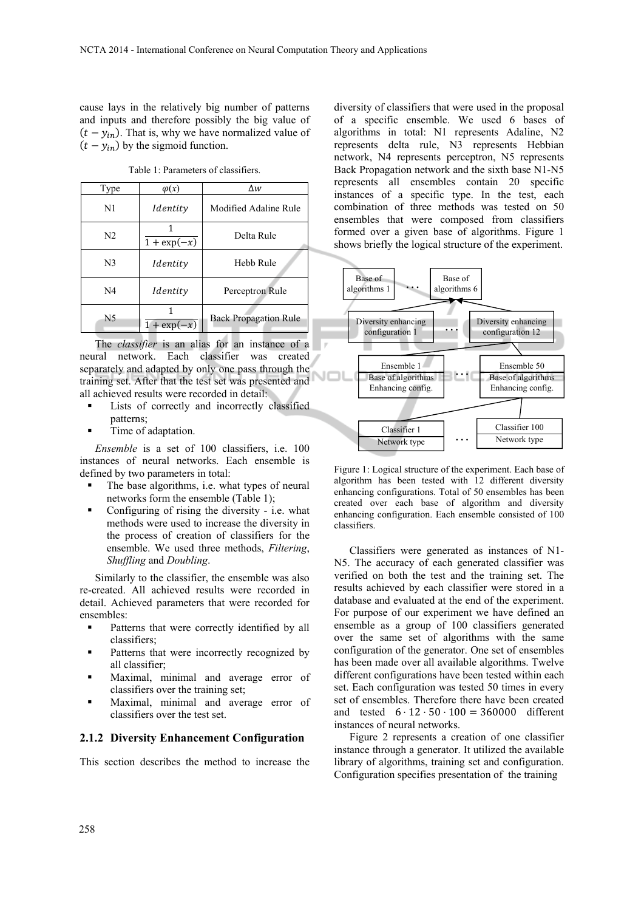cause lays in the relatively big number of patterns and inputs and therefore possibly the big value of  $(t - y_{in})$ . That is, why we have normalized value of  $(t - y_{in})$  by the sigmoid function.

Table 1: Parameters of classifiers.

| Type           | $\varphi(x)$              | Δw                           |  |
|----------------|---------------------------|------------------------------|--|
| N <sub>1</sub> | Identity                  | Modified Adaline Rule        |  |
| N <sub>2</sub> | $\overline{1 + \exp(-x)}$ | Delta Rule                   |  |
| N <sub>3</sub> | Identity                  | Hebb Rule                    |  |
| N <sub>4</sub> | Identity                  | Perceptron Rule              |  |
| N <sub>5</sub> | $1 + \exp(-x)$            | <b>Back Propagation Rule</b> |  |

The *classifier* is an alias for an instance of a neural network. Each classifier was created separately and adapted by only one pass through the training set. After that the test set was presented and all achieved results were recorded in detail:

- Lists of correctly and incorrectly classified patterns;
- Time of adaptation.

*Ensemble* is a set of 100 classifiers, i.e. 100 instances of neural networks. Each ensemble is defined by two parameters in total:

- The base algorithms, i.e. what types of neural networks form the ensemble (Table 1);
- Configuring of rising the diversity i.e. what methods were used to increase the diversity in the process of creation of classifiers for the ensemble. We used three methods, *Filtering*, *Shuffling* and *Doubling*.

Similarly to the classifier, the ensemble was also re-created. All achieved results were recorded in detail. Achieved parameters that were recorded for ensembles:

- **•** Patterns that were correctly identified by all classifiers;
- **Patterns that were incorrectly recognized by** all classifier;
- Maximal, minimal and average error of classifiers over the training set;
- Maximal, minimal and average error of classifiers over the test set.

### **2.1.2 Diversity Enhancement Configuration**

This section describes the method to increase the

diversity of classifiers that were used in the proposal of a specific ensemble. We used 6 bases of algorithms in total: N1 represents Adaline, N2 represents delta rule, N3 represents Hebbian network, N4 represents perceptron, N5 represents Back Propagation network and the sixth base N1-N5 represents all ensembles contain 20 specific instances of a specific type. In the test, each combination of three methods was tested on 50 ensembles that were composed from classifiers formed over a given base of algorithms. Figure 1 shows briefly the logical structure of the experiment.



Figure 1: Logical structure of the experiment. Each base of algorithm has been tested with 12 different diversity enhancing configurations. Total of 50 ensembles has been created over each base of algorithm and diversity enhancing configuration. Each ensemble consisted of 100 classifiers.

Classifiers were generated as instances of N1- N5. The accuracy of each generated classifier was verified on both the test and the training set. The results achieved by each classifier were stored in a database and evaluated at the end of the experiment. For purpose of our experiment we have defined an ensemble as a group of 100 classifiers generated over the same set of algorithms with the same configuration of the generator. One set of ensembles has been made over all available algorithms. Twelve different configurations have been tested within each set. Each configuration was tested 50 times in every set of ensembles. Therefore there have been created and tested  $6 \cdot 12 \cdot 50 \cdot 100 = 360000$  different instances of neural networks.

Figure 2 represents a creation of one classifier instance through a generator. It utilized the available library of algorithms, training set and configuration. Configuration specifies presentation of the training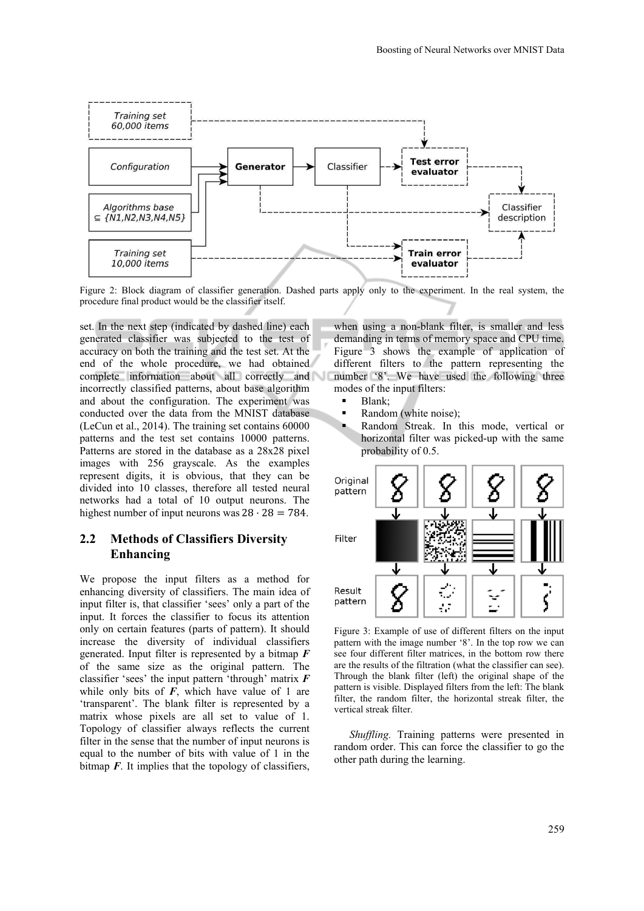

Figure 2: Block diagram of classifier generation. Dashed parts apply only to the experiment. In the real system, the procedure final product would be the classifier itself.

set. In the next step (indicated by dashed line) each generated classifier was subjected to the test of accuracy on both the training and the test set. At the end of the whole procedure, we had obtained complete information about all correctly and incorrectly classified patterns, about base algorithm and about the configuration. The experiment was conducted over the data from the MNIST database (LeCun et al., 2014). The training set contains 60000 patterns and the test set contains 10000 patterns. Patterns are stored in the database as a 28x28 pixel images with 256 grayscale. As the examples represent digits, it is obvious, that they can be divided into 10 classes, therefore all tested neural networks had a total of 10 output neurons. The highest number of input neurons was  $28 \cdot 28 = 784$ .

# **2.2 Methods of Classifiers Diversity Enhancing**

We propose the input filters as a method for enhancing diversity of classifiers. The main idea of input filter is, that classifier 'sees' only a part of the input. It forces the classifier to focus its attention only on certain features (parts of pattern). It should increase the diversity of individual classifiers generated. Input filter is represented by a bitmap *F* of the same size as the original pattern. The classifier 'sees' the input pattern 'through' matrix *F*  while only bits of  $F$ , which have value of 1 are 'transparent'. The blank filter is represented by a matrix whose pixels are all set to value of 1. Topology of classifier always reflects the current filter in the sense that the number of input neurons is equal to the number of bits with value of 1 in the bitmap  $\vec{F}$ . It implies that the topology of classifiers,

when using a non-blank filter, is smaller and less demanding in terms of memory space and CPU time. Figure 3 shows the example of application of different filters to the pattern representing the number '8'. We have used the following three modes of the input filters:

- Blank;
- Random (white noise);
- Random Streak. In this mode, vertical or horizontal filter was picked-up with the same probability of 0.5.



Figure 3: Example of use of different filters on the input pattern with the image number '8'. In the top row we can see four different filter matrices, in the bottom row there are the results of the filtration (what the classifier can see). Through the blank filter (left) the original shape of the pattern is visible. Displayed filters from the left: The blank filter, the random filter, the horizontal streak filter, the vertical streak filter.

*Shuffling.* Training patterns were presented in random order. This can force the classifier to go the other path during the learning.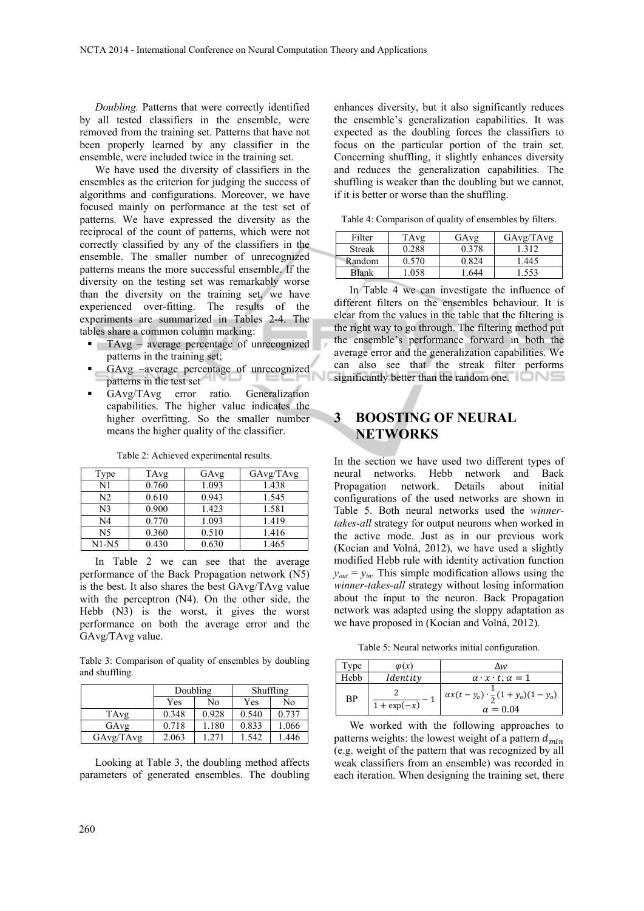*Doubling.* Patterns that were correctly identified by all tested classifiers in the ensemble, were removed from the training set. Patterns that have not been properly learned by any classifier in the ensemble, were included twice in the training set.

We have used the diversity of classifiers in the ensembles as the criterion for judging the success of algorithms and configurations. Moreover, we have focused mainly on performance at the test set of patterns. We have expressed the diversity as the reciprocal of the count of patterns, which were not correctly classified by any of the classifiers in the ensemble. The smaller number of unrecognized patterns means the more successful ensemble. If the diversity on the testing set was remarkably worse than the diversity on the training set, we have experienced over-fitting. The results of the experiments are summarized in Tables 2-4. The tables share a common column marking:

- **TAvg** average percentage of unrecognized patterns in the training set;
- GAvg –average percentage of unrecognized patterns in the test set
- GAvg/TAvg error ratio. Generalization capabilities. The higher value indicates the higher overfitting. So the smaller number means the higher quality of the classifier.

| l'ype          | TAvg  | GAvg  | GAvg/TAvg |
|----------------|-------|-------|-----------|
| N1             | 0.760 | 1.093 | 1.438     |
| N <sub>2</sub> | 0.610 | 0.943 | 1.545     |
| N3             | 0.900 | 1.423 | 1.581     |
| N4             | 0.770 | 1.093 | 1.419     |
| N5             | 0.360 | 0.510 | 1.416     |
| $N1-N5$        | 0.430 | 0.630 | 1.465     |

Table 2: Achieved experimental results.

In Table 2 we can see that the average performance of the Back Propagation network (N5) is the best. It also shares the best GAvg/TAvg value with the perceptron (N4). On the other side, the Hebb (N3) is the worst, it gives the worst performance on both the average error and the GAvg/TAvg value.

Table 3: Comparison of quality of ensembles by doubling and shuffling.

|           | Doubling |       | Shuffling |       |
|-----------|----------|-------|-----------|-------|
|           | Yes      | No    | Yes       | No    |
| TAvg      | 0.348    | 0.928 | 0.540     | 0.737 |
| GAvg      | 0.718    | 1.180 | 0.833     | 1.066 |
| GAvg/TAvg | 2.063    | 1.271 | 1.542     | 1.446 |

Looking at Table 3, the doubling method affects parameters of generated ensembles. The doubling

enhances diversity, but it also significantly reduces the ensemble's generalization capabilities. It was expected as the doubling forces the classifiers to focus on the particular portion of the train set. Concerning shuffling, it slightly enhances diversity and reduces the generalization capabilities. The shuffling is weaker than the doubling but we cannot, if it is better or worse than the shuffling.

Table 4: Comparison of quality of ensembles by filters.

| Filter        | TAvg  | GAvg  | GAvg/TAvg |
|---------------|-------|-------|-----------|
| <b>Streak</b> | 0.288 | 0.378 | . 312     |
| Random        | 0.570 | 0.824 | .445      |
| Blank         | .058  | 644   | .553      |

In Table 4 we can investigate the influence of different filters on the ensembles behaviour. It is clear from the values in the table that the filtering is the right way to go through. The filtering method put the ensemble's performance forward in both the average error and the generalization capabilities. We can also see that the streak filter performs significantly better than the random one.

# **3 BOOSTING OF NEURAL NETWORKS**

In the section we have used two different types of neural networks. Hebb network and Back Propagation network. Details about initial configurations of the used networks are shown in Table 5. Both neural networks used the *winnertakes-all* strategy for output neurons when worked in the active mode. Just as in our previous work (Kocian and Volná, 2012), we have used a slightly modified Hebb rule with identity activation function  $y_{out} = y_{in}$ . This simple modification allows using the *winner-takes-all* strategy without losing information about the input to the neuron. Back Propagation network was adapted using the sloppy adaptation as we have proposed in (Kocian and Volná, 2012).

Table 5: Neural networks initial configuration.

| Type | $\varphi(x)$   | Δw                                                             |
|------|----------------|----------------------------------------------------------------|
| Hebb | Identity       | $\alpha \cdot x \cdot t$ ; $\alpha = 1$                        |
| ΒP   | $1 + \exp(-x)$ | $ax(t-y_0) \cdot \frac{1}{2}(1+y_0)(1-y_0)$<br>$\alpha = 0.04$ |

We worked with the following approaches to patterns weights: the lowest weight of a pattern  $d_{min}$ (e.g. weight of the pattern that was recognized by all weak classifiers from an ensemble) was recorded in each iteration. When designing the training set, there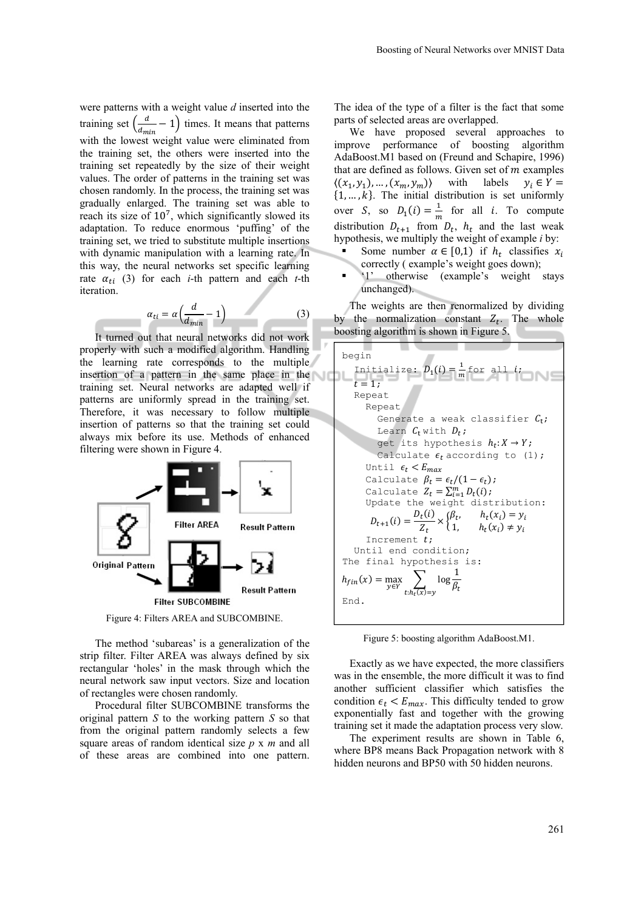were patterns with a weight value *d* inserted into the training set  $\left(\frac{d}{d_{min}} - 1\right)$  times. It means that patterns with the lowest weight value were eliminated from the training set, the others were inserted into the training set repeatedly by the size of their weight values. The order of patterns in the training set was chosen randomly. In the process, the training set was gradually enlarged. The training set was able to reach its size of  $10<sup>7</sup>$ , which significantly slowed its adaptation. To reduce enormous 'puffing' of the training set, we tried to substitute multiple insertions with dynamic manipulation with a learning rate. In this way, the neural networks set specific learning rate  $\alpha_{ti}$  (3) for each *i*-th pattern and each *t*-th iteration.

$$
\alpha_{ti} = \alpha \left( \frac{d}{d_{min}} - 1 \right) \tag{3}
$$

It turned out that neural networks did not work properly with such a modified algorithm. Handling the learning rate corresponds to the multiple insertion of a pattern in the same place in the training set. Neural networks are adapted well if patterns are uniformly spread in the training set. Therefore, it was necessary to follow multiple insertion of patterns so that the training set could always mix before its use. Methods of enhanced filtering were shown in Figure 4.



Figure 4: Filters AREA and SUBCOMBINE.

The method 'subareas' is a generalization of the strip filter. Filter AREA was always defined by six rectangular 'holes' in the mask through which the neural network saw input vectors. Size and location of rectangles were chosen randomly.

Procedural filter SUBCOMBINE transforms the original pattern *S* to the working pattern *S* so that from the original pattern randomly selects a few square areas of random identical size *p* x *m* and all of these areas are combined into one pattern.

The idea of the type of a filter is the fact that some parts of selected areas are overlapped.

We have proposed several approaches to improve performance of boosting algorithm AdaBoost.M1 based on (Freund and Schapire, 1996) that are defined as follows. Given set of  $m$  examples  $\langle (x_1, y_1), ..., (x_m, y_m) \rangle$  with labels  $y_i \in Y =$  $\{1, ..., k\}$ . The initial distribution is set uniformly over *S*, so  $D_1(i) = \frac{1}{m}$  for all *i*. To compute distribution  $D_{t+1}$  from  $D_t$ ,  $h_t$  and the last weak hypothesis, we multiply the weight of example *i* by:

- Some number  $\alpha \in [0,1)$  if  $h_t$  classifies  $x_i$ correctly ( example's weight goes down);
- '1' otherwise (example's weight stays unchanged).

The weights are then renormalized by dividing by the normalization constant  $Z_t$ . The whole boosting algorithm is shown in Figure 5.



Figure 5: boosting algorithm AdaBoost.M1.

Exactly as we have expected, the more classifiers was in the ensemble, the more difficult it was to find another sufficient classifier which satisfies the condition  $\epsilon_t$  <  $E_{max}$ . This difficulty tended to grow exponentially fast and together with the growing training set it made the adaptation process very slow.

The experiment results are shown in Table 6, where BP8 means Back Propagation network with 8 hidden neurons and BP50 with 50 hidden neurons.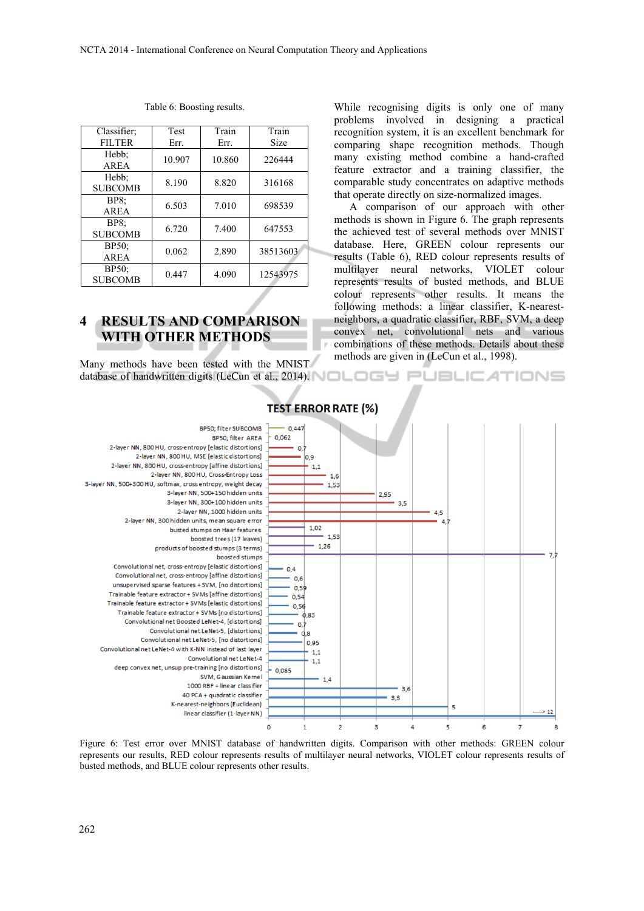| Classifier;             | Test   | Train  | Train       |
|-------------------------|--------|--------|-------------|
| <b>FILTER</b>           | Err.   | Err.   | <b>Size</b> |
| Hebb;<br>AREA           | 10.907 | 10.860 | 226444      |
| Hebb;<br><b>SUBCOMB</b> | 8.190  | 8.820  | 316168      |
| <b>BP8:</b><br>AREA     | 6.503  | 7.010  | 698539      |
| BP8<br><b>SUBCOMB</b>   | 6.720  | 7.400  | 647553      |
| BP50<br>AREA            | 0.062  | 2.890  | 38513603    |
| BP50;<br><b>SUBCOMB</b> | 0.447  | 4.090  | 12543975    |

#### Table 6: Boosting results.

# **4 RESULTS AND COMPARISON WITH OTHER METHODS**

Many methods have been tested with the MNIST database of handwritten digits (LeCun et al., 2014). NOLOGU PUBLICATIONS

While recognising digits is only one of many problems involved in designing a practical recognition system, it is an excellent benchmark for comparing shape recognition methods. Though many existing method combine a hand-crafted feature extractor and a training classifier, the comparable study concentrates on adaptive methods that operate directly on size-normalized images.

A comparison of our approach with other methods is shown in Figure 6. The graph represents the achieved test of several methods over MNIST database. Here, GREEN colour represents our results (Table 6), RED colour represents results of multilayer neural networks, VIOLET colour represents results of busted methods, and BLUE colour represents other results. It means the following methods: a linear classifier, K-nearestneighbors, a quadratic classifier, RBF, SVM, a deep convex net, convolutional nets and various combinations of these methods. Details about these methods are given in (LeCun et al., 1998).



# **TEST ERROR RATE (%)**

Figure 6: Test error over MNIST database of handwritten digits. Comparison with other methods: GREEN colour represents our results, RED colour represents results of multilayer neural networks, VIOLET colour represents results of busted methods, and BLUE colour represents other results.